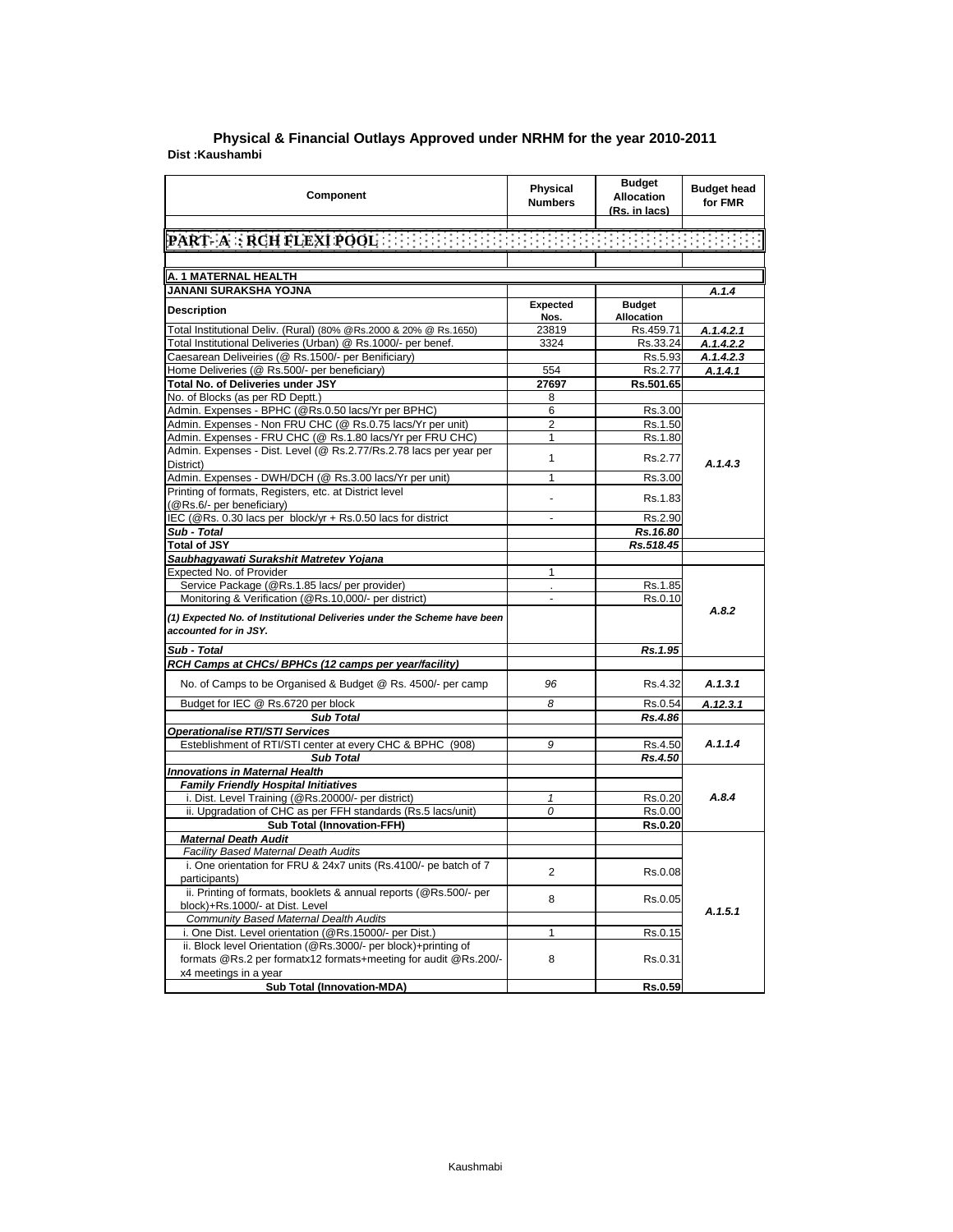| Component                                                                                                                                  | Physical<br><b>Numbers</b> | <b>Budget</b><br><b>Allocation</b><br>(Rs. in lacs) | <b>Budget head</b><br>for FMR |
|--------------------------------------------------------------------------------------------------------------------------------------------|----------------------------|-----------------------------------------------------|-------------------------------|
|                                                                                                                                            |                            |                                                     |                               |
| $\lbrack \texttt{PART-}\texttt{A} : \texttt{RCH}\texttt{FLEXI}\texttt{POOL} \rbrack$ . The set of the set of the set of the set of the set |                            |                                                     |                               |
|                                                                                                                                            |                            |                                                     |                               |
| A. 1 MATERNAL HEALTH                                                                                                                       |                            |                                                     |                               |
| JANANI SURAKSHA YOJNA                                                                                                                      |                            |                                                     | A.1.4                         |
|                                                                                                                                            | Expected                   | <b>Budget</b>                                       |                               |
| <b>Description</b>                                                                                                                         | Nos.                       | <b>Allocation</b>                                   |                               |
| Total Institutional Deliv. (Rural) (80% @Rs.2000 & 20% @ Rs.1650)                                                                          | 23819                      | Rs.459.71                                           | A.1.4.2.1                     |
| Total Institutional Deliveries (Urban) @ Rs.1000/- per benef.                                                                              | 3324                       | Rs.33.24                                            | A.1.4.2.2                     |
| Caesarean Deliveiries (@ Rs.1500/- per Benificiary)                                                                                        |                            | Rs.5.93                                             | A.1.4.2.3                     |
| Home Deliveries (@ Rs.500/- per beneficiary)                                                                                               | 554                        | Rs.2.77                                             | A.1.4.1                       |
| Total No. of Deliveries under JSY                                                                                                          | 27697                      | Rs.501.65                                           |                               |
| No. of Blocks (as per RD Deptt.)                                                                                                           | 8                          |                                                     |                               |
| Admin. Expenses - BPHC (@Rs.0.50 lacs/Yr per BPHC)                                                                                         | 6                          | Rs.3.00                                             |                               |
| Admin. Expenses - Non FRU CHC (@ Rs.0.75 lacs/Yr per unit)                                                                                 | 2                          | Rs.1.50                                             |                               |
| Admin. Expenses - FRU CHC (@ Rs.1.80 lacs/Yr per FRU CHC)                                                                                  | $\mathbf{1}$               | Rs.1.80                                             |                               |
| Admin. Expenses - Dist. Level (@ Rs.2.77/Rs.2.78 lacs per year per                                                                         |                            |                                                     |                               |
| District)                                                                                                                                  | $\mathbf{1}$               | Rs.2.77                                             | A.1.4.3                       |
| Admin. Expenses - DWH/DCH (@ Rs.3.00 lacs/Yr per unit)                                                                                     | $\mathbf{1}$               | Rs.3.00                                             |                               |
| Printing of formats, Registers, etc. at District level                                                                                     |                            |                                                     |                               |
| (@Rs.6/- per beneficiary)                                                                                                                  |                            | Rs.1.83                                             |                               |
| IEC (@Rs. 0.30 lacs per block/yr + Rs.0.50 lacs for district                                                                               |                            | Rs.2.90                                             |                               |
| Sub - Total                                                                                                                                |                            | Rs.16.80                                            |                               |
| <b>Total of JSY</b>                                                                                                                        |                            | Rs.518.45                                           |                               |
| Saubhagyawati Surakshit Matretev Yojana                                                                                                    |                            |                                                     |                               |
| Expected No. of Provider                                                                                                                   | $\mathbf{1}$               |                                                     |                               |
| Service Package (@Rs.1.85 lacs/ per provider)                                                                                              | ¥.                         | Rs.1.85                                             |                               |
| Monitoring & Verification (@Rs.10,000/- per district)                                                                                      |                            | Rs.0.10                                             |                               |
| (1) Expected No. of Institutional Deliveries under the Scheme have been<br>accounted for in JSY.                                           |                            |                                                     | A.8.2                         |
| Sub - Total                                                                                                                                |                            | Rs.1.95                                             |                               |
| RCH Camps at CHCs/ BPHCs (12 camps per year/facility)                                                                                      |                            |                                                     |                               |
| No. of Camps to be Organised & Budget @ Rs. 4500/- per camp                                                                                | 96                         | Rs.4.32                                             | A.1.3.1                       |
| Budget for IEC @ Rs.6720 per block                                                                                                         | 8                          | Rs.0.54                                             | A.12.3.1                      |
| <b>Sub Total</b>                                                                                                                           |                            | Rs.4.86                                             |                               |
| <b>Operationalise RTI/STI Services</b>                                                                                                     |                            |                                                     |                               |
| Esteblishment of RTI/STI center at every CHC & BPHC (908)                                                                                  | 9                          | Rs.4.50                                             | A.1.1.4                       |
| <b>Sub Total</b>                                                                                                                           |                            | Rs.4.50                                             |                               |
| <b>Innovations in Maternal Health</b>                                                                                                      |                            |                                                     |                               |
| <b>Family Friendly Hospital Initiatives</b>                                                                                                |                            |                                                     |                               |
| i. Dist. Level Training (@Rs.20000/- per district)                                                                                         | 1                          | Rs.0.20                                             | A.8.4                         |
| ii. Upgradation of CHC as per FFH standards (Rs.5 lacs/unit)                                                                               | 0                          | Rs.0.00                                             |                               |
| <b>Sub Total (Innovation-FFH)</b>                                                                                                          |                            | Rs.0.20                                             |                               |
| <b>Maternal Death Audit</b>                                                                                                                |                            |                                                     |                               |
| <b>Facility Based Maternal Death Audits</b>                                                                                                |                            |                                                     |                               |
| i. One orientation for FRU & 24x7 units (Rs.4100/- pe batch of 7                                                                           |                            |                                                     |                               |
| participants)                                                                                                                              | 2                          | Rs.0.08                                             |                               |
| ii. Printing of formats, booklets & annual reports (@Rs.500/- per                                                                          | 8                          | Rs.0.05                                             |                               |
| block)+Rs.1000/- at Dist. Level                                                                                                            |                            |                                                     | A.1.5.1                       |
| <b>Community Based Maternal Dealth Audits</b>                                                                                              |                            |                                                     |                               |
| i. One Dist. Level orientation (@Rs.15000/- per Dist.)                                                                                     | $\mathbf{1}$               | Rs.0.15                                             |                               |
| ii. Block level Orientation (@Rs.3000/- per block)+printing of                                                                             |                            |                                                     |                               |
| formats @Rs.2 per formatx12 formats+meeting for audit @Rs.200/-                                                                            | 8                          | Rs.0.31                                             |                               |
| x4 meetings in a year                                                                                                                      |                            |                                                     |                               |
| Sub Total (Innovation-MDA)                                                                                                                 |                            | Rs.0.59                                             |                               |

## **Dist :Kaushambi Physical & Financial Outlays Approved under NRHM for the year 2010-2011**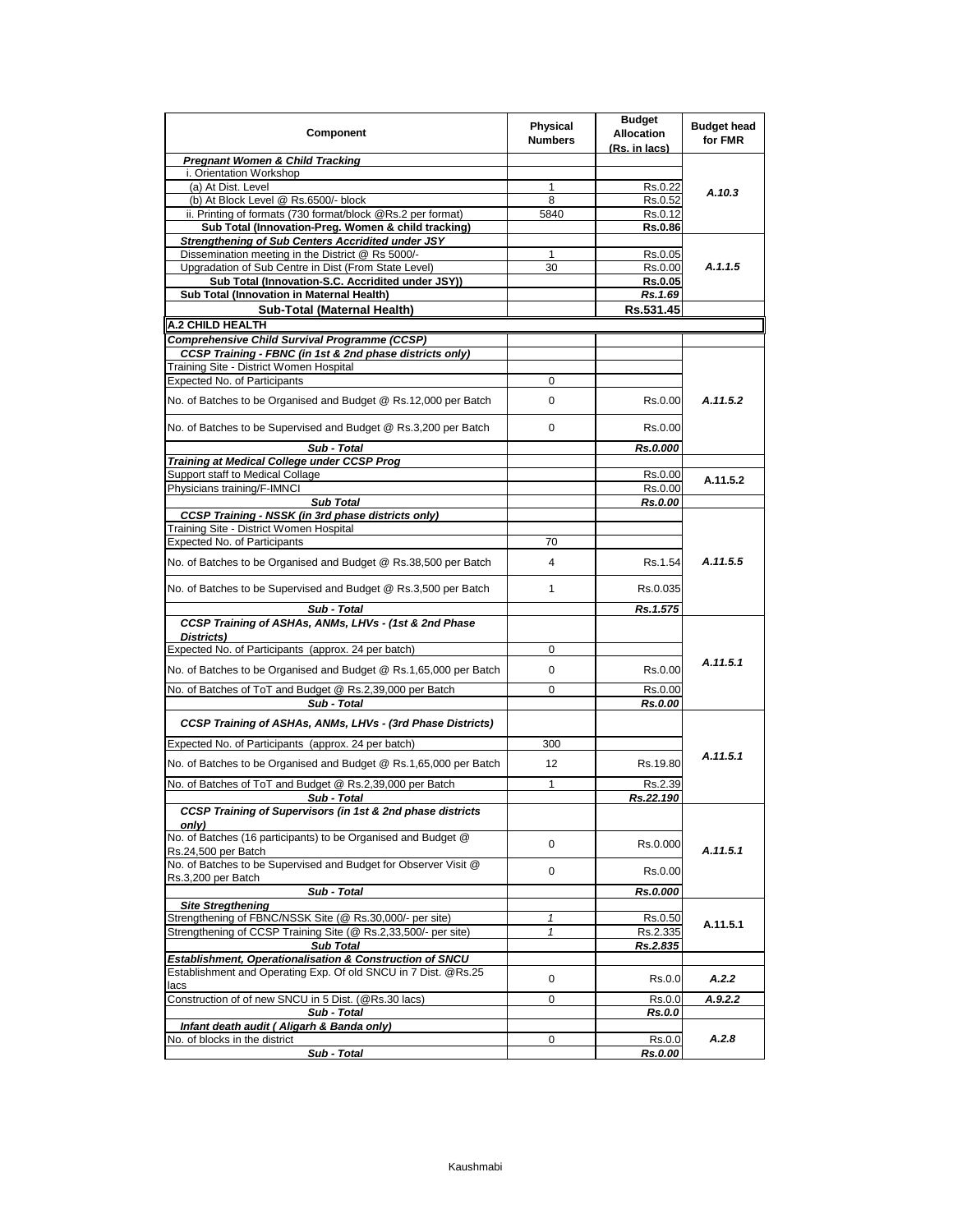| Component                                                                                     | <b>Physical</b><br><b>Numbers</b> | <b>Budget</b><br><b>Allocation</b><br>(Rs. in lacs) | <b>Budget head</b><br>for FMR |
|-----------------------------------------------------------------------------------------------|-----------------------------------|-----------------------------------------------------|-------------------------------|
| <b>Pregnant Women &amp; Child Tracking</b>                                                    |                                   |                                                     |                               |
| i. Orientation Workshop                                                                       |                                   |                                                     |                               |
| (a) At Dist. Level                                                                            | 1                                 | Rs.0.22                                             | A.10.3                        |
| (b) At Block Level @ Rs.6500/- block                                                          | 8                                 | Rs.0.52                                             |                               |
| ii. Printing of formats (730 format/block @Rs.2 per format)                                   | 5840                              | Rs.0.12                                             |                               |
| Sub Total (Innovation-Preg. Women & child tracking)                                           |                                   | Rs.0.86                                             |                               |
| <b>Strengthening of Sub Centers Accridited under JSY</b>                                      |                                   |                                                     |                               |
| Dissemination meeting in the District @ Rs 5000/-                                             | 1                                 | Rs.0.05                                             |                               |
| Upgradation of Sub Centre in Dist (From State Level)                                          | 30                                | Rs.0.00                                             | A.1.1.5                       |
| Sub Total (Innovation-S.C. Accridited under JSY))                                             |                                   | <b>Rs.0.05</b>                                      |                               |
| Sub Total (Innovation in Maternal Health)                                                     |                                   | Rs.1.69                                             |                               |
| Sub-Total (Maternal Health)                                                                   |                                   | Rs.531.45                                           |                               |
| A.2 CHILD HEALTH                                                                              |                                   |                                                     |                               |
| Comprehensive Child Survival Programme (CCSP)                                                 |                                   |                                                     |                               |
| CCSP Training - FBNC (in 1st & 2nd phase districts only)                                      |                                   |                                                     |                               |
| Training Site - District Women Hospital                                                       |                                   |                                                     |                               |
| Expected No. of Participants                                                                  | 0                                 |                                                     |                               |
| No. of Batches to be Organised and Budget @ Rs.12,000 per Batch                               | 0                                 | Rs.0.00                                             | A.11.5.2                      |
| No. of Batches to be Supervised and Budget @ Rs.3,200 per Batch                               | 0                                 | Rs.0.00                                             |                               |
| Sub - Total                                                                                   |                                   | Rs.0.000                                            |                               |
| Training at Medical College under CCSP Prog                                                   |                                   |                                                     |                               |
| Support staff to Medical Collage                                                              |                                   | Rs.0.00                                             |                               |
| Physicians training/F-IMNCI                                                                   |                                   | Rs.0.00                                             | A.11.5.2                      |
| <b>Sub Total</b>                                                                              |                                   | Rs.0.00                                             |                               |
| <b>CCSP Training - NSSK (in 3rd phase districts only)</b>                                     |                                   |                                                     |                               |
| Training Site - District Women Hospital                                                       |                                   |                                                     |                               |
| <b>Expected No. of Participants</b>                                                           | 70                                |                                                     |                               |
| No. of Batches to be Organised and Budget @ Rs.38,500 per Batch                               | 4                                 | Rs.1.54                                             | A.11.5.5                      |
| No. of Batches to be Supervised and Budget @ Rs.3,500 per Batch                               | $\mathbf{1}$                      | Rs.0.035                                            |                               |
| Sub - Total                                                                                   |                                   | Rs.1.575                                            |                               |
| CCSP Training of ASHAs, ANMs, LHVs - (1st & 2nd Phase<br>Districts)                           |                                   |                                                     |                               |
| Expected No. of Participants (approx. 24 per batch)                                           | 0                                 |                                                     |                               |
| No. of Batches to be Organised and Budget @ Rs.1,65,000 per Batch                             | 0                                 | Rs.0.00                                             | A.11.5.1                      |
| No. of Batches of ToT and Budget @ Rs.2,39,000 per Batch                                      | 0                                 | Rs.0.00                                             |                               |
| Sub - Total                                                                                   |                                   | Rs.0.00                                             |                               |
| <b>CCSP Training of ASHAs, ANMs, LHVs - (3rd Phase Districts)</b>                             |                                   |                                                     |                               |
| Expected No. of Participants (approx. 24 per batch)                                           | 300                               |                                                     | A.11.5.1                      |
| No. of Batches to be Organised and Budget @ Rs.1,65,000 per Batch                             | 12                                | Rs.19.80                                            |                               |
| No. of Batches of ToT and Budget @ Rs.2,39,000 per Batch                                      | 1                                 | Rs.2.39                                             |                               |
| Sub - Total<br>CCSP Training of Supervisors (in 1st & 2nd phase districts                     |                                   | Rs.22.190                                           |                               |
| only)<br>No. of Batches (16 participants) to be Organised and Budget @<br>Rs.24,500 per Batch | 0                                 | Rs.0.000                                            | A.11.5.1                      |
| No. of Batches to be Supervised and Budget for Observer Visit @                               | 0                                 | Rs.0.00                                             |                               |
| Rs.3,200 per Batch<br>Sub - Total                                                             |                                   | Rs.0.000                                            |                               |
| <b>Site Stregthening</b>                                                                      |                                   |                                                     |                               |
| Strengthening of FBNC/NSSK Site (@ Rs.30,000/- per site)                                      | 1                                 | Rs.0.50                                             |                               |
| Strengthening of CCSP Training Site (@ Rs.2,33,500/- per site)                                | 1                                 | Rs.2.335                                            | A.11.5.1                      |
| <b>Sub Total</b>                                                                              |                                   | Rs.2.835                                            |                               |
| Establishment, Operationalisation & Construction of SNCU                                      |                                   |                                                     |                               |
| Establishment and Operating Exp. Of old SNCU in 7 Dist. @Rs.25<br>lacs                        | 0                                 | Rs.0.0                                              | A.2.2                         |
| Construction of of new SNCU in 5 Dist. (@Rs.30 lacs)                                          | 0                                 | Rs.0.0                                              | A.9.2.2                       |
| Sub - Total                                                                                   |                                   | Rs.0.0                                              |                               |
| Infant death audit (Aligarh & Banda only)                                                     |                                   |                                                     |                               |
| No. of blocks in the district                                                                 | 0                                 | Rs.0.0                                              | A.2.8                         |
| Sub - Total                                                                                   |                                   | Rs.0.00                                             |                               |
|                                                                                               |                                   |                                                     |                               |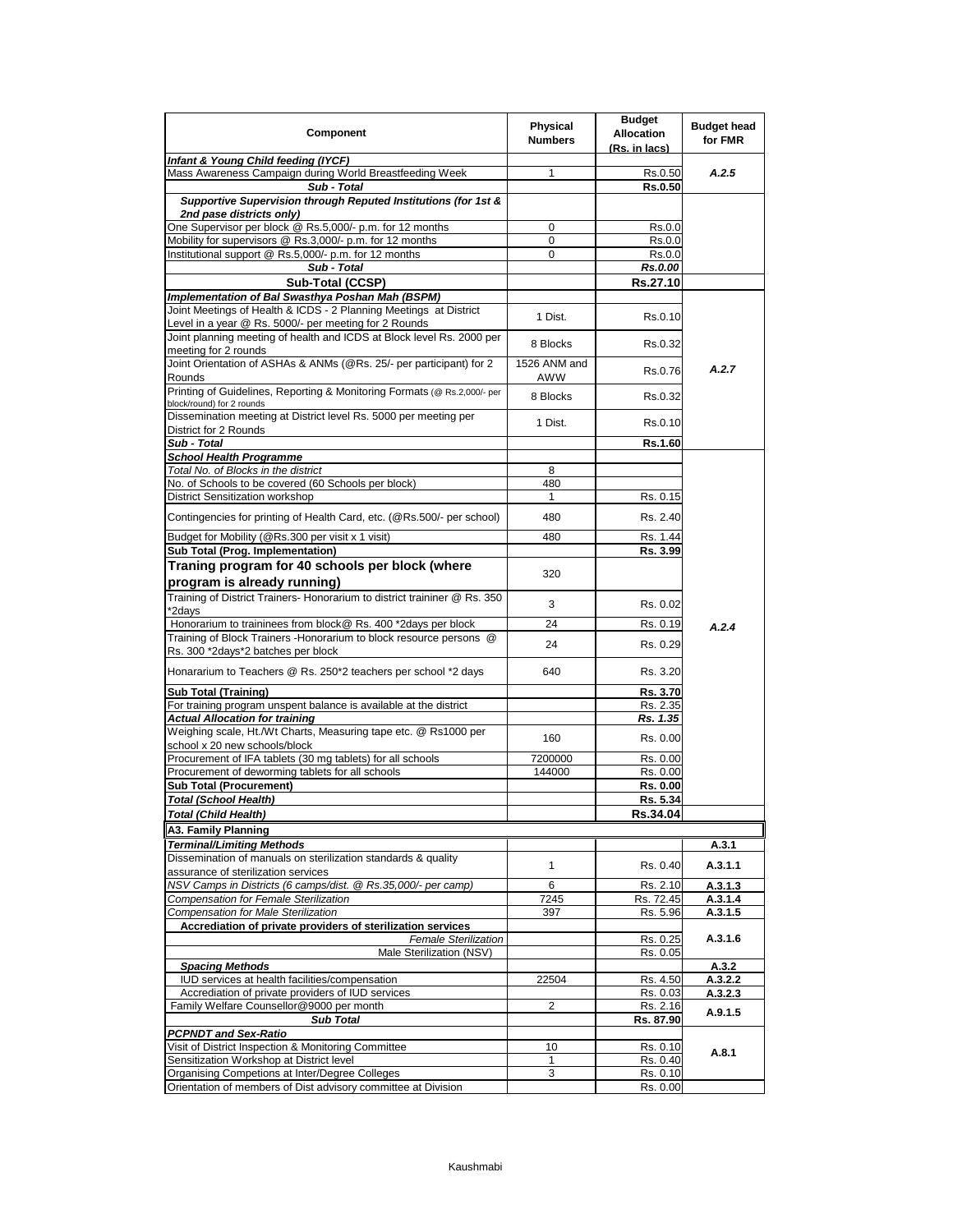| Component                                                                                                                  | Physical<br><b>Numbers</b> | <b>Budget</b><br><b>Allocation</b><br>(Rs. in lacs) | <b>Budget head</b><br>for FMR |
|----------------------------------------------------------------------------------------------------------------------------|----------------------------|-----------------------------------------------------|-------------------------------|
| Infant & Young Child feeding (IYCF)                                                                                        |                            |                                                     |                               |
| Mass Awareness Campaign during World Breastfeeding Week                                                                    | 1                          | Rs.0.50                                             | A.2.5                         |
| Sub - Total<br>Supportive Supervision through Reputed Institutions (for 1st &<br>2nd pase districts only)                  |                            | <b>Rs.0.50</b>                                      |                               |
| One Supervisor per block @ Rs.5,000/- p.m. for 12 months                                                                   | $\mathbf 0$                | Rs.0.0                                              |                               |
| Mobility for supervisors @ Rs.3,000/- p.m. for 12 months                                                                   | 0                          | Rs.0.0                                              |                               |
| Institutional support @ Rs.5,000/- p.m. for 12 months                                                                      | 0                          | Rs.0.0                                              |                               |
| Sub - Total                                                                                                                |                            | Rs.0.00                                             |                               |
| Sub-Total (CCSP)                                                                                                           |                            | Rs.27.10                                            |                               |
| Implementation of Bal Swasthya Poshan Mah (BSPM)                                                                           |                            |                                                     |                               |
| Joint Meetings of Health & ICDS - 2 Planning Meetings at District<br>Level in a year @ Rs. 5000/- per meeting for 2 Rounds | 1 Dist.                    | Rs.0.10                                             |                               |
| Joint planning meeting of health and ICDS at Block level Rs. 2000 per<br>meeting for 2 rounds                              | 8 Blocks                   | Rs.0.32                                             |                               |
| Joint Orientation of ASHAs & ANMs (@Rs. 25/- per participant) for 2<br>Rounds                                              | 1526 ANM and<br>AWW        | Rs.0.76                                             | A.2.7                         |
| Printing of Guidelines, Reporting & Monitoring Formats (@ Rs.2,000/- per<br>block/round) for 2 rounds                      | 8 Blocks                   | Rs.0.32                                             |                               |
| Dissemination meeting at District level Rs. 5000 per meeting per<br>District for 2 Rounds                                  | 1 Dist.                    | Rs.0.10                                             |                               |
| Sub - Total                                                                                                                |                            | Rs.1.60                                             |                               |
| <b>School Health Programme</b>                                                                                             |                            |                                                     |                               |
| Total No. of Blocks in the district                                                                                        | 8                          |                                                     |                               |
| No. of Schools to be covered (60 Schools per block)                                                                        | 480<br>$\mathbf{1}$        |                                                     |                               |
| <b>District Sensitization workshop</b>                                                                                     |                            | Rs. 0.15                                            |                               |
| Contingencies for printing of Health Card, etc. (@Rs.500/- per school)                                                     | 480                        | Rs. 2.40                                            |                               |
| Budget for Mobility (@Rs.300 per visit x 1 visit)<br>Sub Total (Prog. Implementation)                                      | 480                        | Rs. 1.44<br>Rs. 3.99                                |                               |
|                                                                                                                            |                            |                                                     |                               |
| Traning program for 40 schools per block (where<br>program is already running)                                             | 320                        |                                                     |                               |
| Training of District Trainers- Honorarium to district traininer @ Rs. 350<br>*2days                                        | 3                          | Rs. 0.02                                            |                               |
| Honorarium to traininees from block@ Rs. 400 *2days per block                                                              | 24                         | Rs. 0.19                                            | A.2.4                         |
| Training of Block Trainers - Honorarium to block resource persons @<br>Rs. 300 *2days*2 batches per block                  | 24                         | Rs. 0.29                                            |                               |
| Honararium to Teachers @ Rs. 250*2 teachers per school *2 days                                                             | 640                        | Rs. 3.20                                            |                               |
| <b>Sub Total (Training)</b>                                                                                                |                            | Rs. 3.70                                            |                               |
| For training program unspent balance is available at the district                                                          |                            | Rs. 2.35                                            |                               |
| <b>Actual Allocation for training</b><br>Weighing scale, Ht./Wt Charts, Measuring tape etc. @ Rs1000 per                   | 160                        | Rs. 1.35<br>Rs. 0.00                                |                               |
| school x 20 new schools/block<br>Procurement of IFA tablets (30 mg tablets) for all schools                                | 7200000                    |                                                     |                               |
| Procurement of deworming tablets for all schools                                                                           | 144000                     | Rs. 0.00<br>Rs. 0.00                                |                               |
| <b>Sub Total (Procurement)</b>                                                                                             |                            | Rs. 0.00                                            |                               |
| Total (School Health)                                                                                                      |                            | Rs. 5.34                                            |                               |
| Total (Child Health)                                                                                                       |                            | Rs.34.04                                            |                               |
| A3. Family Planning                                                                                                        |                            |                                                     |                               |
| <b>Terminal/Limiting Methods</b>                                                                                           |                            |                                                     | A.3.1                         |
| Dissemination of manuals on sterilization standards & quality<br>assurance of sterilization services                       | $\mathbf{1}$               | Rs. 0.40                                            | A.3.1.1                       |
| NSV Camps in Districts (6 camps/dist. @ Rs.35,000/- per camp)                                                              | 6                          | Rs. 2.10                                            | A.3.1.3                       |
| Compensation for Female Sterilization                                                                                      | 7245                       | Rs. 72.45                                           | A.3.1.4                       |
| <b>Compensation for Male Sterilization</b>                                                                                 | 397                        | Rs. 5.96                                            | A.3.1.5                       |
| Accrediation of private providers of sterilization services                                                                |                            |                                                     |                               |
| <b>Female Sterilization</b><br>Male Sterilization (NSV)                                                                    |                            | Rs. 0.25<br>Rs. 0.05                                | A.3.1.6                       |
| <b>Spacing Methods</b>                                                                                                     |                            |                                                     | A.3.2                         |
| IUD services at health facilities/compensation                                                                             | 22504                      | Rs. 4.50                                            | A.3.2.2                       |
| Accrediation of private providers of IUD services                                                                          |                            | Rs. 0.03                                            | A.3.2.3                       |
| Family Welfare Counsellor@9000 per month                                                                                   | 2                          | Rs. 2.16                                            | A.9.1.5                       |
| <b>Sub Total</b>                                                                                                           |                            | Rs. 87.90                                           |                               |
| <b>PCPNDT and Sex-Ratio</b>                                                                                                |                            |                                                     |                               |
| Visit of District Inspection & Monitoring Committee<br>Sensitization Workshop at District level                            | 10<br>1                    | Rs. 0.10<br>Rs. 0.40                                | A.8.1                         |
| Organising Competions at Inter/Degree Colleges                                                                             | 3                          | Rs. 0.10                                            |                               |
| Orientation of members of Dist advisory committee at Division                                                              |                            | Rs. 0.00                                            |                               |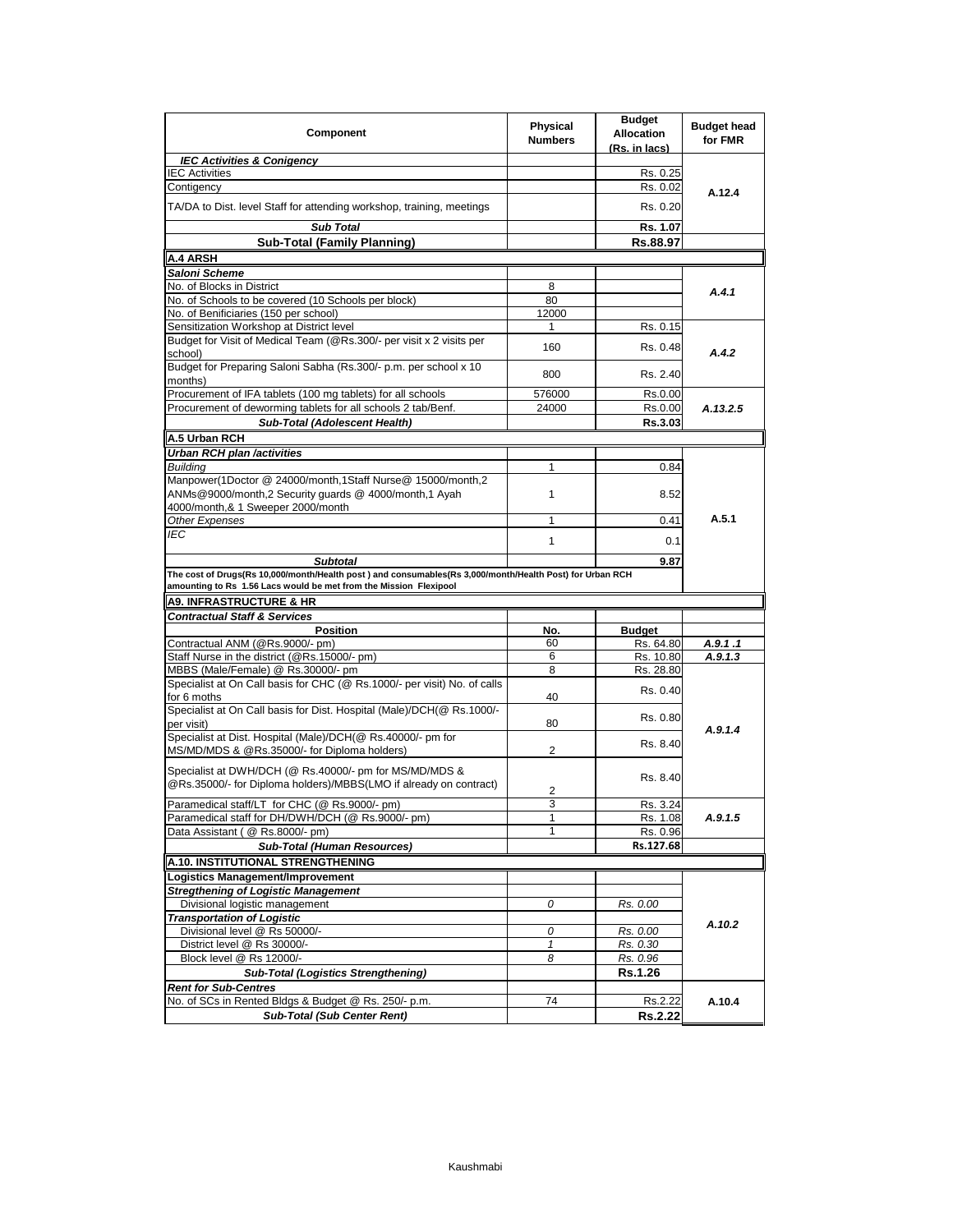| Component                                                                                                                                                                                                                                                 | Physical<br><b>Numbers</b> | <b>Budget</b><br><b>Allocation</b><br>(Rs. in lacs) | <b>Budget head</b><br>for FMR |
|-----------------------------------------------------------------------------------------------------------------------------------------------------------------------------------------------------------------------------------------------------------|----------------------------|-----------------------------------------------------|-------------------------------|
| <b>IEC Activities &amp; Conigency</b>                                                                                                                                                                                                                     |                            |                                                     |                               |
| <b>IEC Activities</b>                                                                                                                                                                                                                                     |                            | Rs. 0.25                                            | A.12.4                        |
| Contigency                                                                                                                                                                                                                                                |                            | Rs. 0.02                                            |                               |
| TA/DA to Dist. level Staff for attending workshop, training, meetings                                                                                                                                                                                     |                            | Rs. 0.20                                            |                               |
| <b>Sub Total</b>                                                                                                                                                                                                                                          |                            | Rs. 1.07                                            |                               |
| <b>Sub-Total (Family Planning)</b>                                                                                                                                                                                                                        |                            | Rs.88.97                                            |                               |
| A.4 ARSH                                                                                                                                                                                                                                                  |                            |                                                     |                               |
| Saloni Scheme                                                                                                                                                                                                                                             |                            |                                                     |                               |
| No. of Blocks in District                                                                                                                                                                                                                                 | 8                          |                                                     | A.4.1                         |
| No. of Schools to be covered (10 Schools per block)                                                                                                                                                                                                       | 80                         |                                                     |                               |
| No. of Benificiaries (150 per school)                                                                                                                                                                                                                     | 12000                      |                                                     |                               |
| Sensitization Workshop at District level                                                                                                                                                                                                                  | 1                          | Rs. 0.15                                            |                               |
| Budget for Visit of Medical Team (@Rs.300/- per visit x 2 visits per<br>school)                                                                                                                                                                           | 160                        | Rs. 0.48                                            | A.4.2                         |
| Budget for Preparing Saloni Sabha (Rs.300/- p.m. per school x 10<br>months)                                                                                                                                                                               | 800                        | Rs. 2.40                                            |                               |
| Procurement of IFA tablets (100 mg tablets) for all schools                                                                                                                                                                                               | 576000                     | Rs.0.00                                             |                               |
| Procurement of deworming tablets for all schools 2 tab/Benf.                                                                                                                                                                                              | 24000                      | Rs.0.00                                             | A.13.2.5                      |
| Sub-Total (Adolescent Health)                                                                                                                                                                                                                             |                            | Rs.3.03                                             |                               |
| A.5 Urban RCH                                                                                                                                                                                                                                             |                            |                                                     |                               |
| Urban RCH plan /activities                                                                                                                                                                                                                                |                            |                                                     |                               |
| <b>Building</b>                                                                                                                                                                                                                                           | 1                          | 0.84                                                |                               |
| Manpower(1Doctor @ 24000/month,1Staff Nurse@ 15000/month,2                                                                                                                                                                                                |                            |                                                     |                               |
| ANMs@9000/month,2 Security guards @ 4000/month,1 Ayah<br>4000/month,& 1 Sweeper 2000/month                                                                                                                                                                | 1                          | 8.52                                                |                               |
| Other Expenses                                                                                                                                                                                                                                            | 1                          | 0.41                                                | A.5.1                         |
| <b>IEC</b>                                                                                                                                                                                                                                                |                            |                                                     |                               |
|                                                                                                                                                                                                                                                           | 1                          | 0.1                                                 |                               |
| <b>Subtotal</b>                                                                                                                                                                                                                                           |                            | 9.87                                                |                               |
| The cost of Drugs(Rs 10,000/month/Health post) and consumables(Rs 3,000/month/Health Post) for Urban RCH<br>amounting to Rs 1.56 Lacs would be met from the Mission Flexipool<br><b>A9. INFRASTRUCTURE &amp; HR</b>                                       |                            |                                                     |                               |
| <b>Contractual Staff &amp; Services</b>                                                                                                                                                                                                                   |                            |                                                     |                               |
| Position                                                                                                                                                                                                                                                  | No.                        | <b>Budget</b>                                       |                               |
| Contractual ANM (@Rs.9000/- pm)                                                                                                                                                                                                                           | 60                         | Rs. 64.80                                           | A.9.1 .1                      |
| Staff Nurse in the district (@Rs.15000/- pm)                                                                                                                                                                                                              | 6                          | Rs. 10.80                                           |                               |
| MBBS (Male/Female) @ Rs.30000/- pm                                                                                                                                                                                                                        | 8                          |                                                     |                               |
| Specialist at On Call basis for CHC (@ Rs.1000/- per visit) No. of calls                                                                                                                                                                                  |                            |                                                     | A.9.1.3                       |
|                                                                                                                                                                                                                                                           |                            | Rs. 28.80                                           |                               |
|                                                                                                                                                                                                                                                           | 40                         | Rs. 0.40                                            |                               |
|                                                                                                                                                                                                                                                           |                            |                                                     |                               |
|                                                                                                                                                                                                                                                           | 80                         | Rs. 0.80                                            |                               |
|                                                                                                                                                                                                                                                           | 2                          | Rs. 8.40                                            | A.9.1.4                       |
| for 6 moths<br>per visit)<br>MS/MD/MDS & @Rs.35000/- for Diploma holders)                                                                                                                                                                                 |                            |                                                     |                               |
| Specialist at DWH/DCH (@ Rs.40000/- pm for MS/MD/MDS &<br>@Rs.35000/- for Diploma holders)/MBBS(LMO if already on contract)                                                                                                                               |                            | Rs. 8.40                                            |                               |
|                                                                                                                                                                                                                                                           | 2<br>3                     |                                                     |                               |
|                                                                                                                                                                                                                                                           |                            | Rs. 3.24                                            |                               |
| Paramedical staff for DH/DWH/DCH (@ Rs.9000/- pm)                                                                                                                                                                                                         | 1                          | Rs. 1.08                                            | A.9.1.5                       |
| Data Assistant (@ Rs.8000/- pm)                                                                                                                                                                                                                           |                            | Rs. 0.96                                            |                               |
| <b>Sub-Total (Human Resources)</b>                                                                                                                                                                                                                        |                            | Rs.127.68                                           |                               |
|                                                                                                                                                                                                                                                           |                            |                                                     |                               |
| Logistics Management/Improvement                                                                                                                                                                                                                          |                            |                                                     |                               |
| <b>Stregthening of Logistic Management</b>                                                                                                                                                                                                                |                            |                                                     |                               |
| Divisional logistic management                                                                                                                                                                                                                            | 0                          | Rs. 0.00                                            |                               |
| <b>Transportation of Logistic</b>                                                                                                                                                                                                                         |                            |                                                     | A.10.2                        |
| Divisional level @ Rs 50000/-                                                                                                                                                                                                                             | 0<br>$\mathbf{1}$          | Rs. 0.00                                            |                               |
| Specialist at On Call basis for Dist. Hospital (Male)/DCH(@ Rs.1000/-<br>Specialist at Dist. Hospital (Male)/DCH(@ Rs.40000/- pm for<br>Paramedical staff/LT for CHC (@ Rs.9000/- pm)<br>A.10. INSTITUTIONAL STRENGTHENING<br>District level @ Rs 30000/- | 8                          | Rs. 0.30                                            |                               |
| Block level @ Rs 12000/-                                                                                                                                                                                                                                  |                            | Rs. 0.96                                            |                               |
| <b>Sub-Total (Logistics Strengthening)</b>                                                                                                                                                                                                                |                            | <b>Rs.1.26</b>                                      |                               |
| <b>Rent for Sub-Centres</b>                                                                                                                                                                                                                               |                            |                                                     |                               |
| No. of SCs in Rented Bldgs & Budget @ Rs. 250/- p.m.<br><b>Sub-Total (Sub Center Rent)</b>                                                                                                                                                                | 74                         | Rs.2.22<br><b>Rs.2.22</b>                           | A.10.4                        |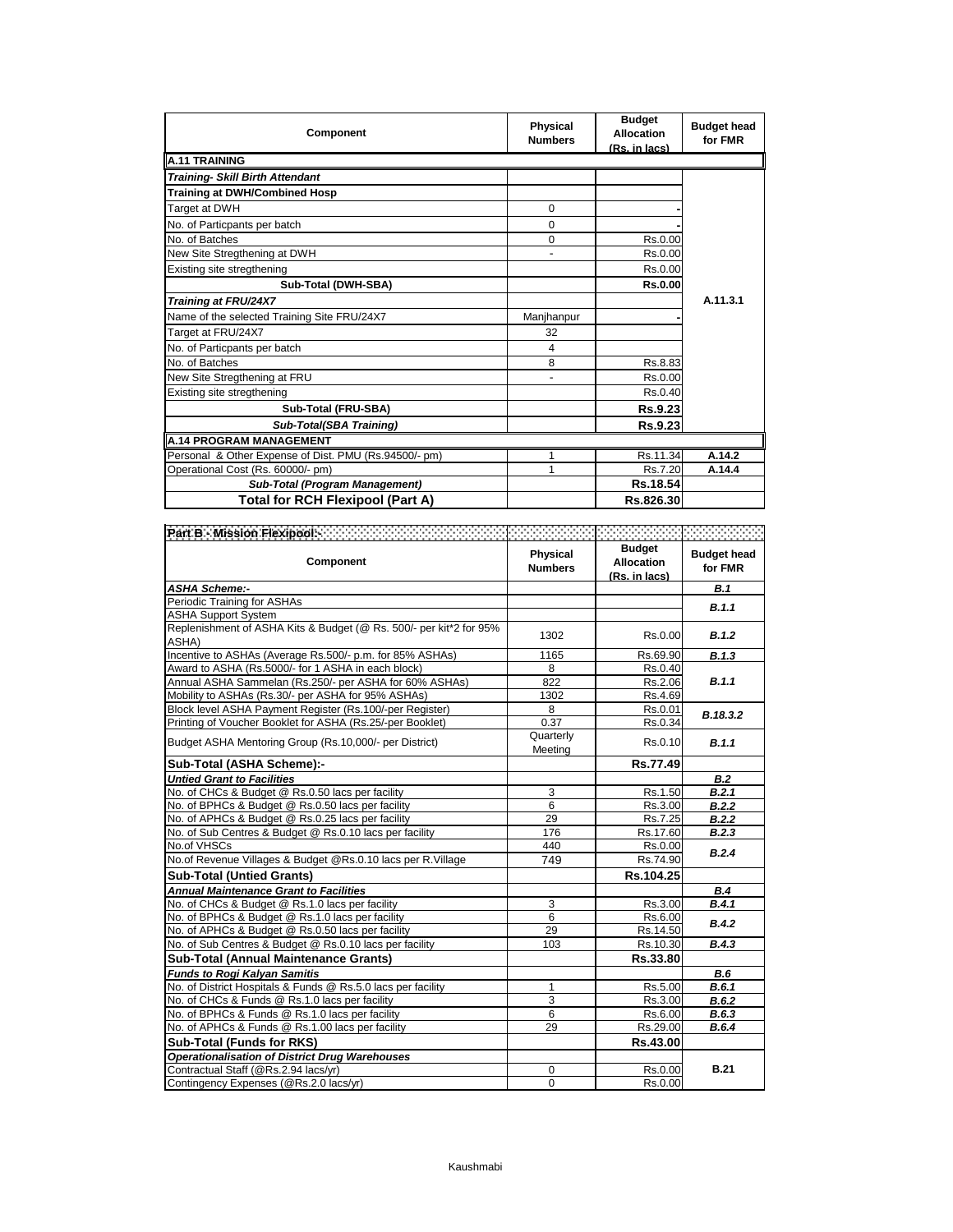| Component                                             | Physical<br><b>Numbers</b> | <b>Budget</b><br><b>Allocation</b><br>(Rs. in lacs) | <b>Budget head</b><br>for FMR |
|-------------------------------------------------------|----------------------------|-----------------------------------------------------|-------------------------------|
| A.11 TRAINING                                         |                            |                                                     |                               |
| Training- Skill Birth Attendant                       |                            |                                                     |                               |
| <b>Training at DWH/Combined Hosp</b>                  |                            |                                                     |                               |
| Target at DWH                                         | $\Omega$                   |                                                     |                               |
| No. of Particpants per batch                          | $\Omega$                   |                                                     |                               |
| No. of Batches                                        | 0                          | Rs.0.00                                             |                               |
| New Site Stregthening at DWH                          | ٠                          | Rs.0.00                                             |                               |
| Existing site stregthening                            |                            | Rs.0.00                                             |                               |
| Sub-Total (DWH-SBA)                                   |                            | Rs.0.00                                             |                               |
| Training at FRU/24X7                                  |                            |                                                     | A.11.3.1                      |
| Name of the selected Training Site FRU/24X7           | Manjhanpur                 |                                                     |                               |
| Target at FRU/24X7                                    | 32                         |                                                     |                               |
| No. of Particpants per batch                          | 4                          |                                                     |                               |
| No. of Batches                                        | 8                          | Rs.8.83                                             |                               |
| New Site Stregthening at FRU                          |                            | Rs.0.00                                             |                               |
| Existing site stregthening                            |                            | Rs.0.40                                             |                               |
| Sub-Total (FRU-SBA)                                   |                            | Rs.9.23                                             |                               |
| Sub-Total(SBA Training)                               |                            | Rs.9.23                                             |                               |
| <b>A.14 PROGRAM MANAGEMENT</b>                        |                            |                                                     |                               |
| Personal & Other Expense of Dist. PMU (Rs.94500/- pm) | 1                          | Rs.11.34                                            | A.14.2                        |
| Operational Cost (Rs. 60000/- pm)                     | 1                          | Rs.7.20                                             | A.14.4                        |
| <b>Sub-Total (Program Management)</b>                 |                            | Rs.18.54                                            |                               |
| <b>Total for RCH Flexipool (Part A)</b>               |                            | Rs.826.30                                           |                               |

| Part B - Mission Flexipool: William                                         |                            |                                                     |                               |
|-----------------------------------------------------------------------------|----------------------------|-----------------------------------------------------|-------------------------------|
| Component                                                                   | Physical<br><b>Numbers</b> | <b>Budget</b><br><b>Allocation</b><br>(Rs. in lacs) | <b>Budget head</b><br>for FMR |
| <b>ASHA Scheme:-</b>                                                        |                            |                                                     | B.1                           |
| Periodic Training for ASHAs                                                 |                            |                                                     | B.1.1                         |
| <b>ASHA Support System</b>                                                  |                            |                                                     |                               |
| Replenishment of ASHA Kits & Budget (@ Rs. 500/- per kit*2 for 95%<br>ASHA) | 1302                       | Rs.0.00                                             | B.1.2                         |
| Incentive to ASHAs (Average Rs.500/- p.m. for 85% ASHAs)                    | 1165                       | Rs.69.90                                            | B.1.3                         |
| Award to ASHA (Rs.5000/- for 1 ASHA in each block)                          | 8                          | Rs.0.40                                             |                               |
| Annual ASHA Sammelan (Rs.250/- per ASHA for 60% ASHAs)                      | 822                        | Rs.2.06                                             | B.1.1                         |
| Mobility to ASHAs (Rs.30/- per ASHA for 95% ASHAs)                          | 1302                       | Rs.4.69                                             |                               |
| Block level ASHA Payment Register (Rs.100/-per Register)                    | 8                          | Rs.0.01                                             | B.18.3.2                      |
| Printing of Voucher Booklet for ASHA (Rs.25/-per Booklet)                   | 0.37                       | Rs.0.34                                             |                               |
| Budget ASHA Mentoring Group (Rs.10,000/- per District)                      | Quarterly<br>Meeting       | Rs.0.10                                             | <b>B.1.1</b>                  |
| Sub-Total (ASHA Scheme):-                                                   |                            | Rs.77.49                                            |                               |
| <b>Untied Grant to Facilities</b>                                           |                            |                                                     | B.2                           |
| No. of CHCs & Budget @ Rs.0.50 lacs per facility                            | 3                          | Rs.1.50                                             | B.2.1                         |
| No. of BPHCs & Budget @ Rs.0.50 lacs per facility                           | 6                          | Rs.3.00                                             | B.2.2                         |
| No. of APHCs & Budget @ Rs.0.25 lacs per facility                           | 29                         | Rs.7.25                                             | B.2.2                         |
| No. of Sub Centres & Budget @ Rs.0.10 lacs per facility                     | 176                        | Rs.17.60                                            | B.2.3                         |
| No.of VHSCs                                                                 | 440                        | Rs.0.00                                             | B.2.4                         |
| No.of Revenue Villages & Budget @Rs.0.10 lacs per R.Village                 | 749                        | Rs.74.90                                            |                               |
| <b>Sub-Total (Untied Grants)</b>                                            |                            | Rs.104.25                                           |                               |
| <b>Annual Maintenance Grant to Facilities</b>                               |                            |                                                     | <b>B.4</b>                    |
| No. of CHCs & Budget @ Rs.1.0 lacs per facility                             | 3                          | Rs.3.00                                             | B.4.1                         |
| No. of BPHCs & Budget @ Rs.1.0 lacs per facility                            | 6                          | Rs.6.00                                             | <b>B.4.2</b>                  |
| No. of APHCs & Budget @ Rs.0.50 lacs per facility                           | 29                         | Rs.14.50                                            |                               |
| No. of Sub Centres & Budget @ Rs.0.10 lacs per facility                     | 103                        | Rs.10.30                                            | B.4.3                         |
| Sub-Total (Annual Maintenance Grants)                                       |                            | Rs.33.80                                            |                               |
| <b>Funds to Rogi Kalyan Samitis</b>                                         |                            |                                                     | <b>B.6</b>                    |
| No. of District Hospitals & Funds @ Rs.5.0 lacs per facility                | 1                          | Rs.5.00                                             | B.6.1                         |
| No. of CHCs & Funds @ Rs.1.0 lacs per facility                              | 3                          | Rs.3.00                                             | B.6.2                         |
| No. of BPHCs & Funds @ Rs.1.0 lacs per facility                             | 6                          | Rs.6.00                                             | B.6.3                         |
| No. of APHCs & Funds @ Rs.1.00 lacs per facility                            | 29                         | Rs.29.00                                            | B.6.4                         |
| <b>Sub-Total (Funds for RKS)</b>                                            |                            | Rs.43.00                                            |                               |
| <b>Operationalisation of District Drug Warehouses</b>                       |                            |                                                     |                               |
| Contractual Staff (@Rs.2.94 lacs/yr)                                        | 0                          | Rs.0.00                                             | <b>B.21</b>                   |
| Contingency Expenses (@Rs.2.0 lacs/yr)                                      | $\Omega$                   | Rs.0.00                                             |                               |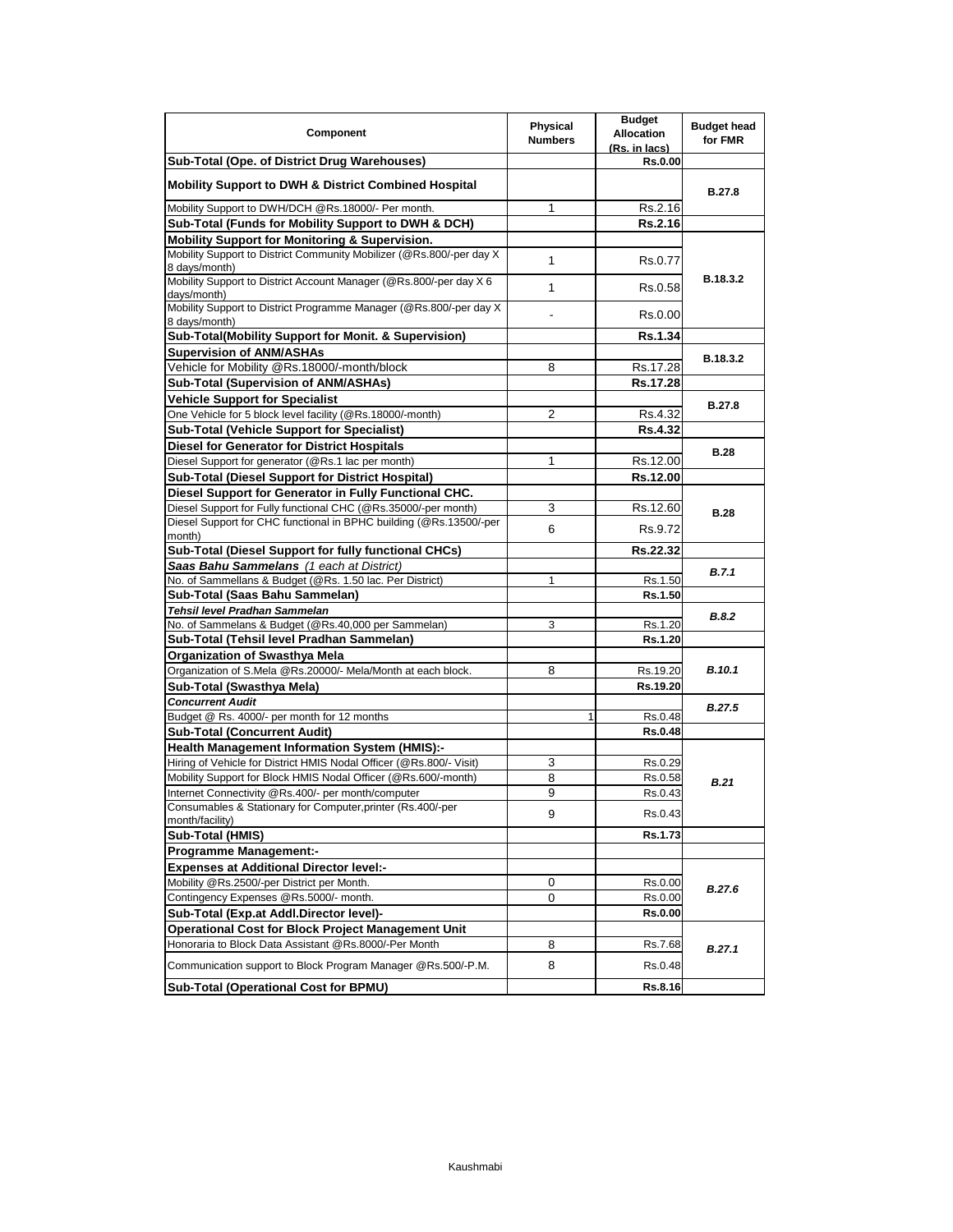| Component                                                                             | Physical<br><b>Numbers</b> | <b>Budget</b><br><b>Allocation</b><br>(Rs. in lacs) | <b>Budget head</b><br>for FMR |
|---------------------------------------------------------------------------------------|----------------------------|-----------------------------------------------------|-------------------------------|
| Sub-Total (Ope. of District Drug Warehouses)                                          |                            | <b>Rs.0.00</b>                                      |                               |
| <b>Mobility Support to DWH &amp; District Combined Hospital</b>                       |                            |                                                     | <b>B.27.8</b>                 |
| Mobility Support to DWH/DCH @Rs.18000/- Per month.                                    | 1                          | Rs.2.16                                             |                               |
| Sub-Total (Funds for Mobility Support to DWH & DCH)                                   |                            | <b>Rs.2.16</b>                                      |                               |
| Mobility Support for Monitoring & Supervision.                                        |                            |                                                     |                               |
| Mobility Support to District Community Mobilizer (@Rs.800/-per day X<br>8 days/month) | $\mathbf{1}$               | Rs.0.77                                             |                               |
| Mobility Support to District Account Manager (@Rs.800/-per day X 6<br>davs/month)     | $\mathbf{1}$               | Rs.0.58                                             | B.18.3.2                      |
| Mobility Support to District Programme Manager (@Rs.800/-per day X<br>8 days/month)   |                            | Rs.0.00                                             |                               |
| Sub-Total(Mobility Support for Monit. & Supervision)                                  |                            | <b>Rs.1.34</b>                                      |                               |
| <b>Supervision of ANM/ASHAs</b>                                                       |                            |                                                     |                               |
| Vehicle for Mobility @Rs.18000/-month/block                                           | 8                          | Rs.17.28                                            | B.18.3.2                      |
| Sub-Total (Supervision of ANM/ASHAs)                                                  |                            | Rs.17.28                                            |                               |
| <b>Vehicle Support for Specialist</b>                                                 |                            |                                                     |                               |
| One Vehicle for 5 block level facility (@Rs.18000/-month)                             | $\overline{2}$             | Rs.4.32                                             | <b>B.27.8</b>                 |
| <b>Sub-Total (Vehicle Support for Specialist)</b>                                     |                            | <b>Rs.4.32</b>                                      |                               |
| <b>Diesel for Generator for District Hospitals</b>                                    |                            |                                                     |                               |
| Diesel Support for generator (@Rs.1 lac per month)                                    | 1                          | Rs.12.00                                            | <b>B.28</b>                   |
| Sub-Total (Diesel Support for District Hospital)                                      |                            | Rs.12.00                                            |                               |
| Diesel Support for Generator in Fully Functional CHC.                                 |                            |                                                     |                               |
| Diesel Support for Fully functional CHC (@Rs.35000/-per month)                        | 3                          |                                                     |                               |
| Diesel Support for CHC functional in BPHC building (@Rs.13500/-per                    |                            | Rs.12.60                                            | <b>B.28</b>                   |
| month)                                                                                | 6                          | Rs.9.72                                             |                               |
| Sub-Total (Diesel Support for fully functional CHCs)                                  |                            | Rs.22.32                                            |                               |
| Saas Bahu Sammelans (1 each at District)                                              |                            |                                                     | <b>B.7.1</b>                  |
| No. of Sammellans & Budget (@Rs. 1.50 lac. Per District)                              | 1                          | Rs.1.50                                             |                               |
| Sub-Total (Saas Bahu Sammelan)                                                        |                            | Rs.1.50                                             |                               |
| Tehsil level Pradhan Sammelan                                                         |                            |                                                     | <b>B.8.2</b>                  |
| No. of Sammelans & Budget (@Rs.40,000 per Sammelan)                                   | 3                          | Rs.1.20                                             |                               |
| Sub-Total (Tehsil level Pradhan Sammelan)                                             |                            | Rs.1.20                                             |                               |
| <b>Organization of Swasthya Mela</b>                                                  |                            |                                                     |                               |
| Organization of S.Mela @Rs.20000/- Mela/Month at each block.                          | 8                          | Rs.19.20                                            | <b>B.10.1</b>                 |
| Sub-Total (Swasthya Mela)                                                             |                            | Rs.19.20                                            |                               |
| <b>Concurrent Audit</b>                                                               |                            |                                                     | <b>B.27.5</b>                 |
| Budget @ Rs. 4000/- per month for 12 months                                           | 1                          | Rs.0.48                                             |                               |
| <b>Sub-Total (Concurrent Audit)</b>                                                   |                            | Rs.0.48                                             |                               |
| <b>Health Management Information System (HMIS):-</b>                                  |                            |                                                     |                               |
| Hiring of Vehicle for District HMIS Nodal Officer (@Rs.800/- Visit)                   | 3                          | Rs.0.29                                             |                               |
| Mobility Support for Block HMIS Nodal Officer (@Rs.600/-month)                        | 8                          | Rs.0.58                                             | <b>B.21</b>                   |
| Internet Connectivity @Rs.400/- per month/computer                                    | 9                          | Rs.0.43                                             |                               |
| Consumables & Stationary for Computer, printer (Rs.400/-per                           | 9                          | Rs.0.43                                             |                               |
| month/facility)                                                                       |                            |                                                     |                               |
| <b>Sub-Total (HMIS)</b>                                                               |                            | Rs.1.73                                             |                               |
| <b>Programme Management:-</b>                                                         |                            |                                                     |                               |
| <b>Expenses at Additional Director level:-</b>                                        |                            |                                                     |                               |
| Mobility @Rs.2500/-per District per Month.                                            | 0                          | Rs.0.00                                             | B.27.6                        |
| Contingency Expenses @Rs.5000/- month.                                                | 0                          | Rs.0.00                                             |                               |
| Sub-Total (Exp.at Addl.Director level)-                                               |                            | Rs.0.00                                             |                               |
| <b>Operational Cost for Block Project Management Unit</b>                             |                            |                                                     |                               |
| Honoraria to Block Data Assistant @Rs.8000/-Per Month                                 | 8                          | Rs.7.68                                             | B.27.1                        |
| Communication support to Block Program Manager @Rs.500/-P.M.                          | 8                          | Rs.0.48                                             |                               |
| Sub-Total (Operational Cost for BPMU)                                                 |                            | Rs.8.16                                             |                               |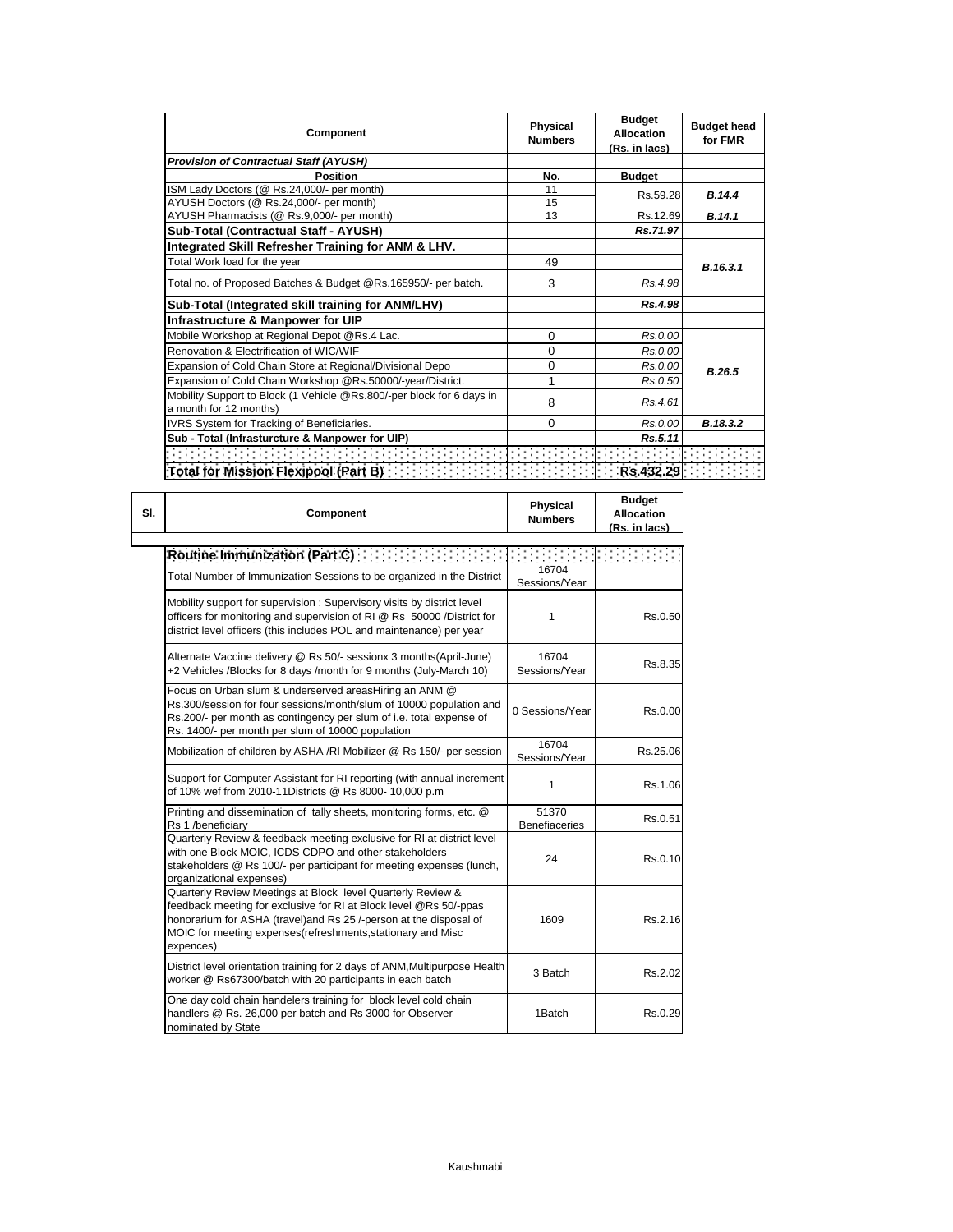| Component                                                                   | Physical<br><b>Numbers</b> | <b>Budget</b><br><b>Allocation</b><br><u>(Rs. in lacs)</u> | <b>Budget head</b><br>for FMR |
|-----------------------------------------------------------------------------|----------------------------|------------------------------------------------------------|-------------------------------|
| <b>Provision of Contractual Staff (AYUSH)</b>                               |                            |                                                            |                               |
| <b>Position</b>                                                             | No.                        | <b>Budget</b>                                              |                               |
| ISM Lady Doctors (@ Rs.24,000/- per month)                                  | 11                         | Rs.59.28                                                   | B.14.4                        |
| AYUSH Doctors (@ Rs.24,000/- per month)                                     | 15                         |                                                            |                               |
| AYUSH Pharmacists (@ Rs.9,000/- per month)                                  | 13                         | Rs.12.69                                                   | B.14.1                        |
| Sub-Total (Contractual Staff - AYUSH)                                       |                            | Rs.71.97                                                   |                               |
| Integrated Skill Refresher Training for ANM & LHV.                          |                            |                                                            |                               |
| Total Work load for the year                                                | 49                         |                                                            | B.16.3.1                      |
| Total no. of Proposed Batches & Budget @Rs.165950/- per batch.              | 3                          | Rs.4.98                                                    |                               |
| Sub-Total (Integrated skill training for ANM/LHV)                           |                            | Rs.4.98                                                    |                               |
| Infrastructure & Manpower for UIP                                           |                            |                                                            |                               |
| Mobile Workshop at Regional Depot @Rs.4 Lac.                                | 0                          | Rs.0.00                                                    |                               |
| Renovation & Electrification of WIC/WIF                                     | 0                          | Rs.0.00                                                    |                               |
| Expansion of Cold Chain Store at Regional/Divisional Depo                   | 0                          | Rs.0.00                                                    | B.26.5                        |
| Expansion of Cold Chain Workshop @Rs.50000/-year/District.                  | 1                          | Rs.0.50                                                    |                               |
| Mobility Support to Block (1 Vehicle @Rs.800/-per block for 6 days in       | 8                          | Rs.4.61                                                    |                               |
| a month for 12 months)                                                      |                            |                                                            |                               |
| IVRS System for Tracking of Beneficiaries.                                  | 0                          | Rs.0.00                                                    | B.18.3.2                      |
| Sub - Total (Infrasturcture & Manpower for UIP)                             |                            | Rs.5.11                                                    |                               |
|                                                                             |                            |                                                            |                               |
| Total for Mission Flexipool (Part B) <b>The Contract of Act of Act 2019</b> |                            |                                                            |                               |

| Component                                                                                                                                                                                                                                                                          | <b>Physical</b><br><b>Numbers</b> | <b>Budget</b><br><b>Allocation</b><br>(Rs <u>. in lacs)</u> |
|------------------------------------------------------------------------------------------------------------------------------------------------------------------------------------------------------------------------------------------------------------------------------------|-----------------------------------|-------------------------------------------------------------|
| Routine Immunization (Part C)                                                                                                                                                                                                                                                      |                                   | l a sa salawa                                               |
| Total Number of Immunization Sessions to be organized in the District                                                                                                                                                                                                              | 16704<br>Sessions/Year            |                                                             |
| Mobility support for supervision: Supervisory visits by district level<br>officers for monitoring and supervision of RI @ Rs 50000 /District for<br>district level officers (this includes POL and maintenance) per year                                                           | 1                                 | Rs.0.50                                                     |
| Alternate Vaccine delivery @ Rs 50/- sessionx 3 months(April-June)<br>+2 Vehicles /Blocks for 8 days /month for 9 months (July-March 10)                                                                                                                                           | 16704<br>Sessions/Year            | Rs.8.35                                                     |
| Focus on Urban slum & underserved areasHiring an ANM @<br>Rs.300/session for four sessions/month/slum of 10000 population and<br>Rs.200/- per month as contingency per slum of i.e. total expense of<br>Rs. 1400/- per month per slum of 10000 population                          | 0 Sessions/Year                   | Rs.0.00                                                     |
| Mobilization of children by ASHA /RI Mobilizer @ Rs 150/- per session                                                                                                                                                                                                              | 16704<br>Sessions/Year            | Rs.25.06                                                    |
| Support for Computer Assistant for RI reporting (with annual increment<br>of 10% wef from 2010-11Districts @ Rs 8000-10,000 p.m                                                                                                                                                    | 1                                 | Rs.1.06                                                     |
| Printing and dissemination of tally sheets, monitoring forms, etc. @<br>Rs 1 /beneficiary                                                                                                                                                                                          | 51370<br><b>Benefiaceries</b>     | Rs.0.51                                                     |
| Quarterly Review & feedback meeting exclusive for RI at district level<br>with one Block MOIC, ICDS CDPO and other stakeholders<br>stakeholders @ Rs 100/- per participant for meeting expenses (lunch,<br>organizational expenses)                                                | 24                                | Rs.0.10                                                     |
| Quarterly Review Meetings at Block level Quarterly Review &<br>feedback meeting for exclusive for RI at Block level @Rs 50/-ppas<br>honorarium for ASHA (travel)and Rs 25 /-person at the disposal of<br>MOIC for meeting expenses (refreshments, stationary and Misc<br>expences) | 1609                              | Rs.2.16                                                     |
| District level orientation training for 2 days of ANM, Multipurpose Health<br>worker @ Rs67300/batch with 20 participants in each batch                                                                                                                                            | 3 Batch                           | Rs.2.02                                                     |
| One day cold chain handelers training for block level cold chain<br>handlers @ Rs. 26,000 per batch and Rs 3000 for Observer<br>nominated by State                                                                                                                                 | 1Batch                            | Rs.0.29                                                     |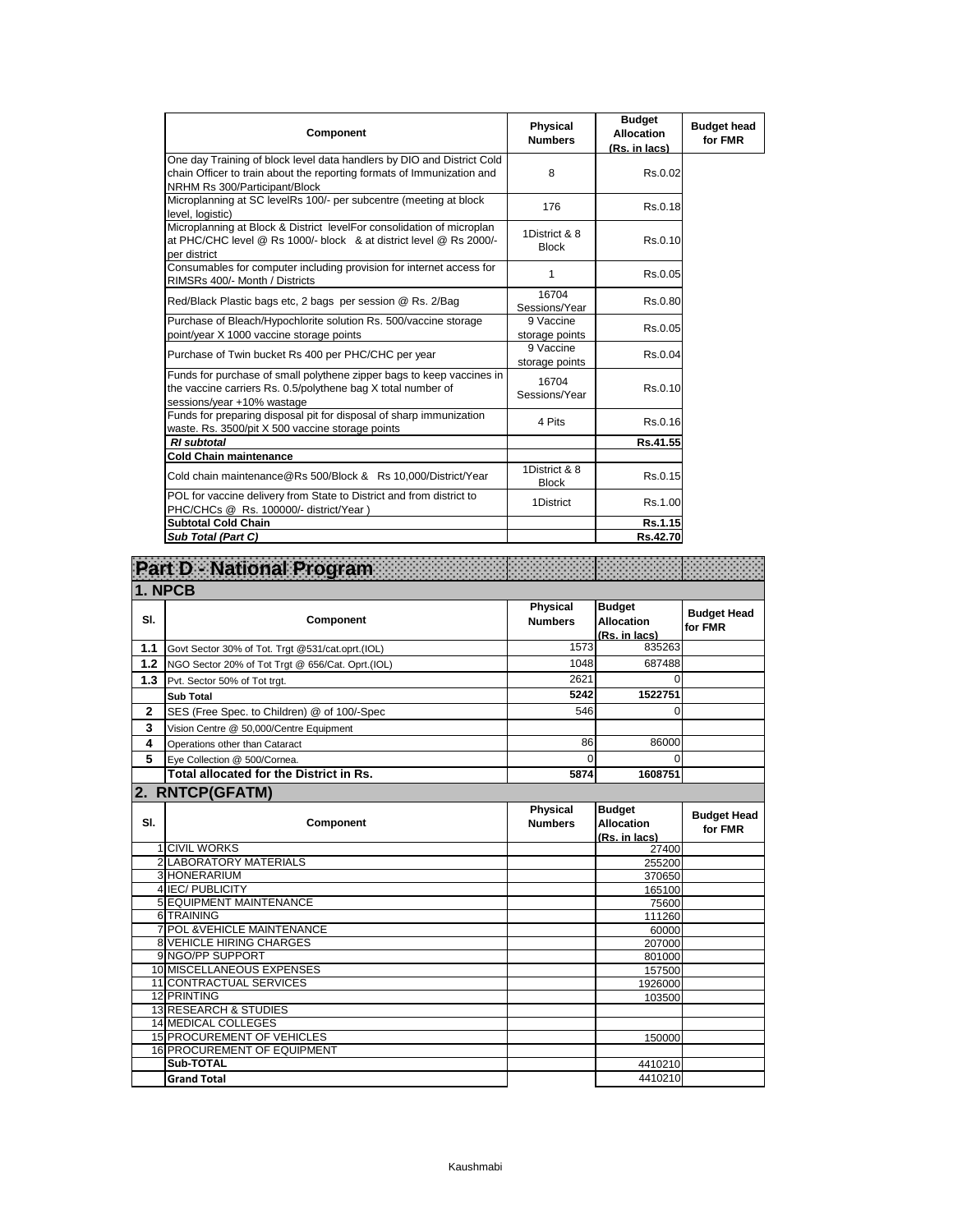| Component                                                                                                                                                                         | Physical<br><b>Numbers</b>    | <b>Budget</b><br><b>Allocation</b><br>(Rs. in lacs) | <b>Budget head</b><br>for FMR |
|-----------------------------------------------------------------------------------------------------------------------------------------------------------------------------------|-------------------------------|-----------------------------------------------------|-------------------------------|
| One day Training of block level data handlers by DIO and District Cold<br>chain Officer to train about the reporting formats of Immunization and<br>NRHM Rs 300/Participant/Block | 8                             | Rs.0.02                                             |                               |
| Microplanning at SC levelRs 100/- per subcentre (meeting at block<br>level, logistic)                                                                                             | 176                           | Rs.0.18                                             |                               |
| Microplanning at Block & District levelFor consolidation of microplan<br>at PHC/CHC level @ Rs 1000/- block & at district level @ Rs 2000/-<br>per district                       | 1District & 8<br><b>Block</b> | Rs.0.10                                             |                               |
| Consumables for computer including provision for internet access for<br>RIMSRs 400/- Month / Districts                                                                            | 1                             | Rs.0.05                                             |                               |
| Red/Black Plastic bags etc, 2 bags per session @ Rs. 2/Bag                                                                                                                        | 16704<br>Sessions/Year        | Rs.0.80                                             |                               |
| Purchase of Bleach/Hypochlorite solution Rs. 500/vaccine storage<br>point/year X 1000 vaccine storage points                                                                      | 9 Vaccine<br>storage points   | Rs.0.05                                             |                               |
| Purchase of Twin bucket Rs 400 per PHC/CHC per year                                                                                                                               | 9 Vaccine<br>storage points   | Rs.0.04                                             |                               |
| Funds for purchase of small polythene zipper bags to keep vaccines in<br>the vaccine carriers Rs. 0.5/polythene bag X total number of<br>sessions/year +10% wastage               | 16704<br>Sessions/Year        | Rs.0.10                                             |                               |
| Funds for preparing disposal pit for disposal of sharp immunization<br>waste. Rs. 3500/pit X 500 vaccine storage points                                                           | 4 Pits                        | Rs.0.16                                             |                               |
| <b>RI</b> subtotal                                                                                                                                                                |                               | Rs.41.55                                            |                               |
| <b>Cold Chain maintenance</b>                                                                                                                                                     |                               |                                                     |                               |
| Cold chain maintenance@Rs 500/Block & Rs 10,000/District/Year                                                                                                                     | 1District & 8<br><b>Block</b> | Rs.0.15                                             |                               |
| POL for vaccine delivery from State to District and from district to<br>PHC/CHCs @ Rs. 100000/- district/Year)                                                                    | 1District                     | Rs.1.00                                             |                               |
| <b>Subtotal Cold Chain</b>                                                                                                                                                        |                               | Rs.1.15                                             |                               |
| Sub Total (Part C)                                                                                                                                                                |                               | Rs.42.70                                            |                               |

| Part D - National Program |                                                  |                                   |                                                     |                               |
|---------------------------|--------------------------------------------------|-----------------------------------|-----------------------------------------------------|-------------------------------|
| 1. NPCB                   |                                                  |                                   |                                                     |                               |
| SI.                       | Component                                        | <b>Physical</b><br><b>Numbers</b> | <b>Budget</b><br><b>Allocation</b><br>(Rs. in lacs) | <b>Budget Head</b><br>for FMR |
| 1.1                       | Govt Sector 30% of Tot. Trgt @531/cat.oprt.(IOL) | 1573                              | 835263                                              |                               |
| 1.2                       | NGO Sector 20% of Tot Trgt @ 656/Cat. Oprt.(IOL) | 1048                              | 687488                                              |                               |
| 1.3                       | Pvt. Sector 50% of Tot trgt.                     | 2621                              | $\Omega$                                            |                               |
|                           | <b>Sub Total</b>                                 | 5242                              | 1522751                                             |                               |
| $\mathbf{2}$              | SES (Free Spec. to Children) @ of 100/-Spec      | 546                               | 0                                                   |                               |
| 3                         | Vision Centre @ 50,000/Centre Equipment          |                                   |                                                     |                               |
| 4                         | Operations other than Cataract                   | 86                                | 86000                                               |                               |
| 5                         | Eve Collection @ 500/Cornea.                     | $\Omega$                          | $\Omega$                                            |                               |
|                           | Total allocated for the District in Rs.          | 5874                              | 1608751                                             |                               |
|                           | 2. RNTCP(GFATM)                                  |                                   |                                                     |                               |
| SI.                       | Component                                        | <b>Physical</b><br><b>Numbers</b> | <b>Budget</b><br><b>Allocation</b><br>(Rs. in lacs) | <b>Budget Head</b><br>for FMR |
|                           | <b>1 CIVIL WORKS</b>                             |                                   | 27400                                               |                               |
|                           | 2 LABORATORY MATERIALS                           |                                   | 255200                                              |                               |
|                           | 3 HONERARIUM                                     |                                   |                                                     |                               |
|                           |                                                  |                                   | 370650                                              |                               |
|                           | 4 IEC/ PUBLICITY                                 |                                   | 165100                                              |                               |
|                           | 5 EQUIPMENT MAINTENANCE                          |                                   | 75600                                               |                               |
|                           | 6 TRAINING                                       |                                   | 111260                                              |                               |
|                           | 7 POL & VEHICLE MAINTENANCE                      |                                   | 60000                                               |                               |
|                           | 8 VEHICLE HIRING CHARGES<br>9 NGO/PP SUPPORT     |                                   | 207000<br>801000                                    |                               |
|                           | 10 MISCELLANEOUS EXPENSES                        |                                   | 157500                                              |                               |
|                           | <b>11 CONTRACTUAL SERVICES</b>                   |                                   | 1926000                                             |                               |
|                           | 12 PRINTING                                      |                                   | 103500                                              |                               |
|                           | <b>13 RESEARCH &amp; STUDIES</b>                 |                                   |                                                     |                               |
|                           | <b>14 MEDICAL COLLEGES</b>                       |                                   |                                                     |                               |
|                           | <b>15 PROCUREMENT OF VEHICLES</b>                |                                   | 150000                                              |                               |
|                           | <b>16 PROCUREMENT OF EQUIPMENT</b>               |                                   |                                                     |                               |
|                           | Sub-TOTAL<br><b>Grand Total</b>                  |                                   | 4410210<br>4410210                                  |                               |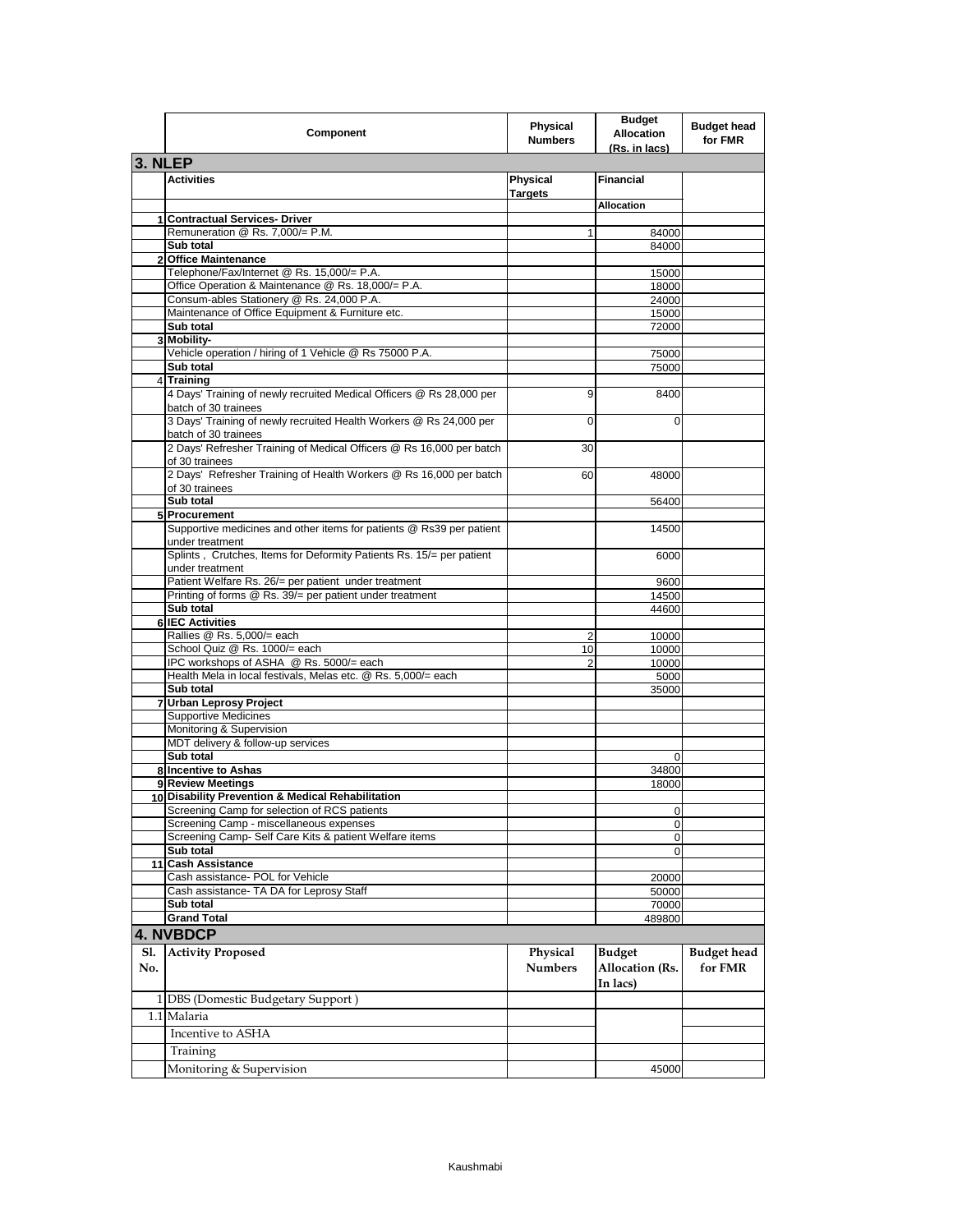|                | Component                                                                                                                                                       | Physical<br><b>Numbers</b> | <b>Budget</b><br><b>Allocation</b><br>(Rs. in lacs) | <b>Budget head</b><br>for FMR |
|----------------|-----------------------------------------------------------------------------------------------------------------------------------------------------------------|----------------------------|-----------------------------------------------------|-------------------------------|
| 3. NLEP        |                                                                                                                                                                 |                            |                                                     |                               |
|                | <b>Activities</b>                                                                                                                                               | Physical<br><b>Targets</b> | <b>Financial</b>                                    |                               |
|                |                                                                                                                                                                 |                            | Allocation                                          |                               |
|                | 1 Contractual Services- Driver                                                                                                                                  |                            |                                                     |                               |
|                | Remuneration @ Rs. 7,000/= P.M.<br>Sub total                                                                                                                    | 1                          | 84000<br>84000                                      |                               |
| $\overline{2}$ | <b>Office Maintenance</b>                                                                                                                                       |                            |                                                     |                               |
|                | Telephone/Fax/Internet @ Rs. 15,000/= P.A.                                                                                                                      |                            | 15000                                               |                               |
|                | Office Operation & Maintenance @ Rs. 18,000/= P.A.                                                                                                              |                            | 18000                                               |                               |
|                | Consum-ables Stationery @ Rs. 24,000 P.A.                                                                                                                       |                            | 24000                                               |                               |
|                | Maintenance of Office Equipment & Furniture etc.                                                                                                                |                            | 15000                                               |                               |
|                | Sub total<br>3 Mobility-                                                                                                                                        |                            | 72000                                               |                               |
|                | Vehicle operation / hiring of 1 Vehicle @ Rs 75000 P.A.                                                                                                         |                            | 75000                                               |                               |
|                | Sub total                                                                                                                                                       |                            | 75000                                               |                               |
| 41             | <b>Training</b>                                                                                                                                                 |                            |                                                     |                               |
|                | 4 Days' Training of newly recruited Medical Officers @ Rs 28,000 per<br>batch of 30 trainees                                                                    | 9                          | 8400                                                |                               |
|                | 3 Days' Training of newly recruited Health Workers @ Rs 24,000 per<br>batch of 30 trainees                                                                      | 0                          | 0                                                   |                               |
|                | 2 Days' Refresher Training of Medical Officers @ Rs 16,000 per batch<br>of 30 trainees                                                                          | 30                         |                                                     |                               |
|                | 2 Days' Refresher Training of Health Workers @ Rs 16,000 per batch<br>of 30 trainees                                                                            | 60                         | 48000                                               |                               |
|                | Sub total                                                                                                                                                       |                            | 56400                                               |                               |
|                | 5 Procurement                                                                                                                                                   |                            |                                                     |                               |
|                | Supportive medicines and other items for patients @ Rs39 per patient<br>under treatment<br>Splints, Crutches, Items for Deformity Patients Rs. 15/= per patient |                            | 14500                                               |                               |
|                | under treatment                                                                                                                                                 |                            | 6000                                                |                               |
|                | Patient Welfare Rs. 26/= per patient under treatment<br>Printing of forms @ Rs. 39/= per patient under treatment                                                |                            | 9600<br>14500                                       |                               |
|                | Sub total                                                                                                                                                       |                            | 44600                                               |                               |
|                | 6 IEC Activities                                                                                                                                                |                            |                                                     |                               |
|                | Rallies @ Rs. 5,000/= each                                                                                                                                      | 2                          | 10000                                               |                               |
|                | School Quiz @ Rs. 1000/= each                                                                                                                                   | 10                         | 10000                                               |                               |
|                | IPC workshops of ASHA @ Rs. 5000/= each                                                                                                                         | 2                          | 10000                                               |                               |
|                | Health Mela in local festivals, Melas etc. @ Rs. 5,000/= each<br>Sub total                                                                                      |                            | 5000<br>35000                                       |                               |
|                | 7 Urban Leprosy Project                                                                                                                                         |                            |                                                     |                               |
|                | <b>Supportive Medicines</b>                                                                                                                                     |                            |                                                     |                               |
|                | Monitoring & Supervision                                                                                                                                        |                            |                                                     |                               |
|                | MDT delivery & follow-up services                                                                                                                               |                            |                                                     |                               |
|                | Sub total                                                                                                                                                       |                            | 0                                                   |                               |
|                | 8 Incentive to Ashas<br>9 Review Meetings                                                                                                                       |                            | 34800                                               |                               |
|                | 10 Disability Prevention & Medical Rehabilitation                                                                                                               |                            | 18000                                               |                               |
|                | Screening Camp for selection of RCS patients                                                                                                                    |                            | O                                                   |                               |
|                | Screening Camp - miscellaneous expenses                                                                                                                         |                            | 0                                                   |                               |
|                | Screening Camp- Self Care Kits & patient Welfare items                                                                                                          |                            | 0                                                   |                               |
|                | Sub total                                                                                                                                                       |                            | 0                                                   |                               |
|                | 11 Cash Assistance                                                                                                                                              |                            |                                                     |                               |
|                | Cash assistance- POL for Vehicle<br>Cash assistance- TA DA for Leprosy Staff                                                                                    |                            | 20000                                               |                               |
|                | Sub total                                                                                                                                                       |                            | 50000<br>70000                                      |                               |
|                | <b>Grand Total</b>                                                                                                                                              |                            | 489800                                              |                               |
|                | <b>4. NVBDCP</b>                                                                                                                                                |                            |                                                     |                               |
| Sl.<br>No.     | <b>Activity Proposed</b>                                                                                                                                        | Physical<br><b>Numbers</b> | <b>Budget</b><br>Allocation (Rs.                    | <b>Budget</b> head<br>for FMR |
|                |                                                                                                                                                                 |                            | In lacs)                                            |                               |
|                | 1 DBS (Domestic Budgetary Support)                                                                                                                              |                            |                                                     |                               |
|                | 1.1 Malaria<br>Incentive to ASHA                                                                                                                                |                            |                                                     |                               |
|                | Training                                                                                                                                                        |                            |                                                     |                               |
|                | Monitoring & Supervision                                                                                                                                        |                            | 45000                                               |                               |
|                |                                                                                                                                                                 |                            |                                                     |                               |